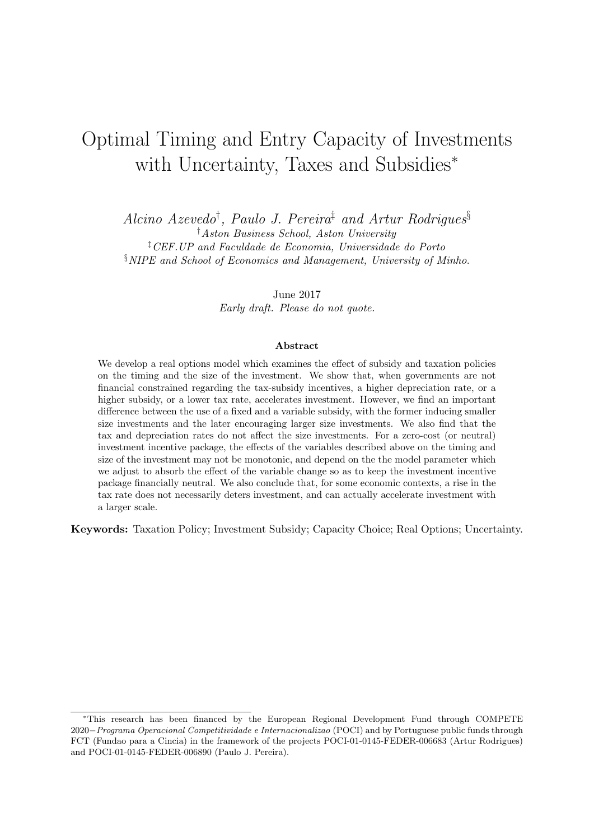# Optimal Timing and Entry Capacity of Investments with Uncertainty, Taxes and Subsidies*<sup>∗</sup>*

*Alcino Azevedo† , Paulo J. Pereira‡ and Artur Rodrigues§ †Aston Business School, Aston University ‡CEF.UP and Faculdade de Economia, Universidade do Porto §NIPE and School of Economics and Management, University of Minho*.

> June 2017 *Early draft. Please do not quote.*

#### **Abstract**

We develop a real options model which examines the effect of subsidy and taxation policies on the timing and the size of the investment. We show that, when governments are not financial constrained regarding the tax-subsidy incentives, a higher depreciation rate, or a higher subsidy, or a lower tax rate, accelerates investment. However, we find an important difference between the use of a fixed and a variable subsidy, with the former inducing smaller size investments and the later encouraging larger size investments. We also find that the tax and depreciation rates do not affect the size investments. For a zero-cost (or neutral) investment incentive package, the effects of the variables described above on the timing and size of the investment may not be monotonic, and depend on the the model parameter which we adjust to absorb the effect of the variable change so as to keep the investment incentive package financially neutral. We also conclude that, for some economic contexts, a rise in the tax rate does not necessarily deters investment, and can actually accelerate investment with a larger scale.

**Keywords:** Taxation Policy; Investment Subsidy; Capacity Choice; Real Options; Uncertainty.

*<sup>∗</sup>*This research has been financed by the European Regional Development Fund through COMPETE 2020*−Programa Operacional Competitividade e Internacionalizao* (POCI) and by Portuguese public funds through FCT (Fundao para a Cincia) in the framework of the projects POCI-01-0145-FEDER-006683 (Artur Rodrigues) and POCI-01-0145-FEDER-006890 (Paulo J. Pereira).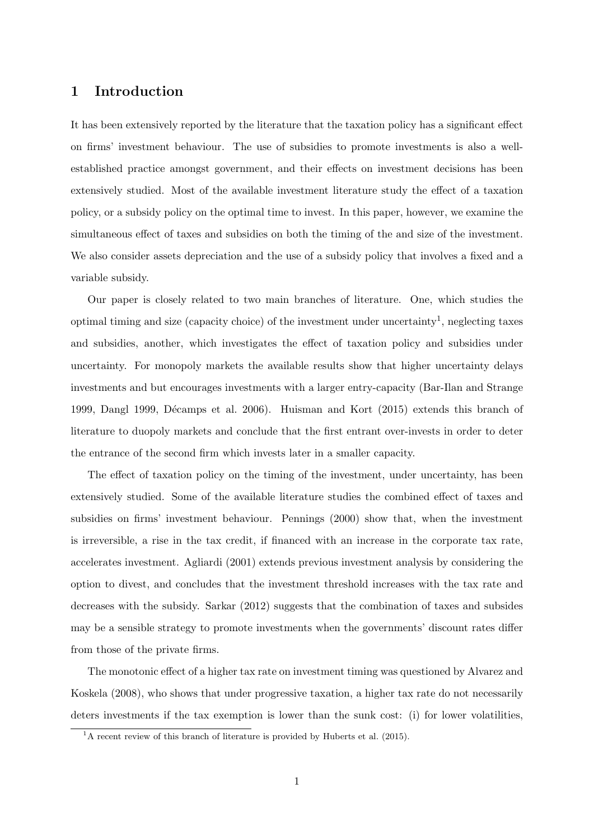## **1 Introduction**

It has been extensively reported by the literature that the taxation policy has a significant effect on firms' investment behaviour. The use of subsidies to promote investments is also a wellestablished practice amongst government, and their effects on investment decisions has been extensively studied. Most of the available investment literature study the effect of a taxation policy, or a subsidy policy on the optimal time to invest. In this paper, however, we examine the simultaneous effect of taxes and subsidies on both the timing of the and size of the investment. We also consider assets depreciation and the use of a subsidy policy that involves a fixed and a variable subsidy.

Our paper is closely related to two main branches of literature. One, which studies the optimal timing and size (capacity choice) of the investment under uncertainty<sup>1</sup>, neglecting taxes and subsidies, another, which investigates the effect of taxation policy and subsidies under uncertainty. For monopoly markets the available results show that higher uncertainty delays investments and but encourages investments with a larger entry-capacity (Bar-Ilan and Strange 1999, Dangl 1999, Décamps et al. 2006). Huisman and Kort (2015) extends this branch of literature to duopoly markets and conclude that the first entrant over-invests in order to deter the entrance of the second firm which invests later in a smaller capacity.

The effect of taxation policy on the timing of the investment, under uncertainty, has been extensively studied. Some of the available literature studies the combined effect of taxes and subsidies on firms' investment behaviour. Pennings (2000) show that, when the investment is irreversible, a rise in the tax credit, if financed with an increase in the corporate tax rate, accelerates investment. Agliardi (2001) extends previous investment analysis by considering the option to divest, and concludes that the investment threshold increases with the tax rate and decreases with the subsidy. Sarkar (2012) suggests that the combination of taxes and subsides may be a sensible strategy to promote investments when the governments' discount rates differ from those of the private firms.

The monotonic effect of a higher tax rate on investment timing was questioned by Alvarez and Koskela (2008), who shows that under progressive taxation, a higher tax rate do not necessarily deters investments if the tax exemption is lower than the sunk cost: (i) for lower volatilities,

 $<sup>1</sup>A$  recent review of this branch of literature is provided by Huberts et al. (2015).</sup>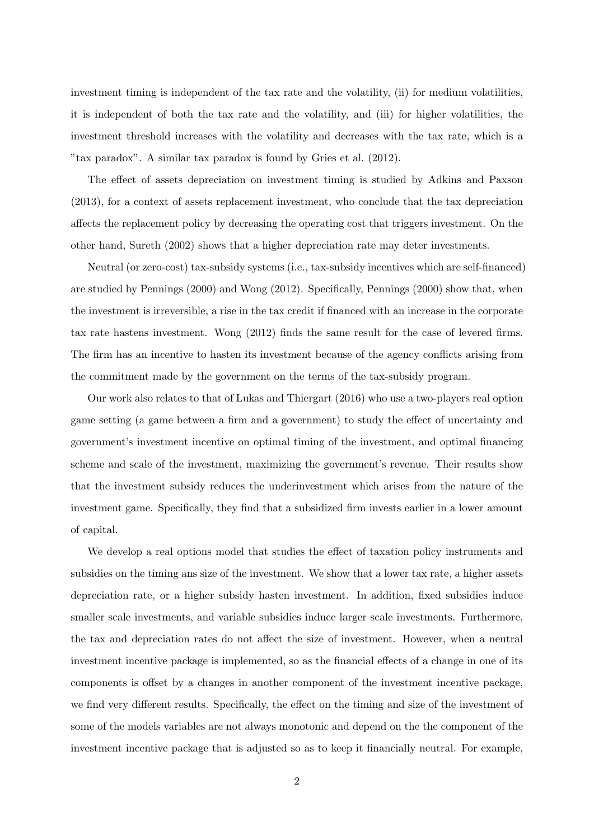investment timing is independent of the tax rate and the volatility, (ii) for medium volatilities, it is independent of both the tax rate and the volatility, and (iii) for higher volatilities, the investment threshold increases with the volatility and decreases with the tax rate, which is a "tax paradox". A similar tax paradox is found by Gries et al. (2012).

The effect of assets depreciation on investment timing is studied by Adkins and Paxson (2013), for a context of assets replacement investment, who conclude that the tax depreciation affects the replacement policy by decreasing the operating cost that triggers investment. On the other hand, Sureth (2002) shows that a higher depreciation rate may deter investments.

Neutral (or zero-cost) tax-subsidy systems (i.e., tax-subsidy incentives which are self-financed) are studied by Pennings (2000) and Wong (2012). Specifically, Pennings (2000) show that, when the investment is irreversible, a rise in the tax credit if financed with an increase in the corporate tax rate hastens investment. Wong (2012) finds the same result for the case of levered firms. The firm has an incentive to hasten its investment because of the agency conflicts arising from the commitment made by the government on the terms of the tax-subsidy program.

Our work also relates to that of Lukas and Thiergart (2016) who use a two-players real option game setting (a game between a firm and a government) to study the effect of uncertainty and government's investment incentive on optimal timing of the investment, and optimal financing scheme and scale of the investment, maximizing the government's revenue. Their results show that the investment subsidy reduces the underinvestment which arises from the nature of the investment game. Specifically, they find that a subsidized firm invests earlier in a lower amount of capital.

We develop a real options model that studies the effect of taxation policy instruments and subsidies on the timing ans size of the investment. We show that a lower tax rate, a higher assets depreciation rate, or a higher subsidy hasten investment. In addition, fixed subsidies induce smaller scale investments, and variable subsidies induce larger scale investments. Furthermore, the tax and depreciation rates do not affect the size of investment. However, when a neutral investment incentive package is implemented, so as the financial effects of a change in one of its components is offset by a changes in another component of the investment incentive package, we find very different results. Specifically, the effect on the timing and size of the investment of some of the models variables are not always monotonic and depend on the the component of the investment incentive package that is adjusted so as to keep it financially neutral. For example,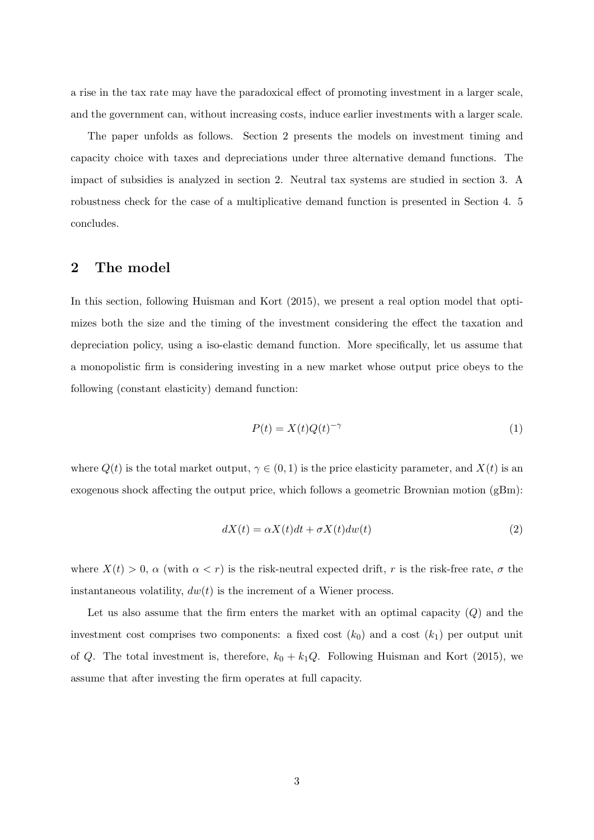a rise in the tax rate may have the paradoxical effect of promoting investment in a larger scale, and the government can, without increasing costs, induce earlier investments with a larger scale.

The paper unfolds as follows. Section 2 presents the models on investment timing and capacity choice with taxes and depreciations under three alternative demand functions. The impact of subsidies is analyzed in section 2. Neutral tax systems are studied in section 3. A robustness check for the case of a multiplicative demand function is presented in Section 4. 5 concludes.

## **2 The model**

In this section, following Huisman and Kort (2015), we present a real option model that optimizes both the size and the timing of the investment considering the effect the taxation and depreciation policy, using a iso-elastic demand function. More specifically, let us assume that a monopolistic firm is considering investing in a new market whose output price obeys to the following (constant elasticity) demand function:

$$
P(t) = X(t)Q(t)^{-\gamma} \tag{1}
$$

where  $Q(t)$  is the total market output,  $\gamma \in (0,1)$  is the price elasticity parameter, and  $X(t)$  is an exogenous shock affecting the output price, which follows a geometric Brownian motion (gBm):

$$
dX(t) = \alpha X(t)dt + \sigma X(t)dw(t)
$$
\n(2)

where  $X(t) > 0$ ,  $\alpha$  (with  $\alpha < r$ ) is the risk-neutral expected drift, *r* is the risk-free rate,  $\sigma$  the instantaneous volatility,  $dw(t)$  is the increment of a Wiener process.

Let us also assume that the firm enters the market with an optimal capacity (*Q*) and the investment cost comprises two components: a fixed cost  $(k_0)$  and a cost  $(k_1)$  per output unit of *Q*. The total investment is, therefore,  $k_0 + k_1 Q$ . Following Huisman and Kort (2015), we assume that after investing the firm operates at full capacity.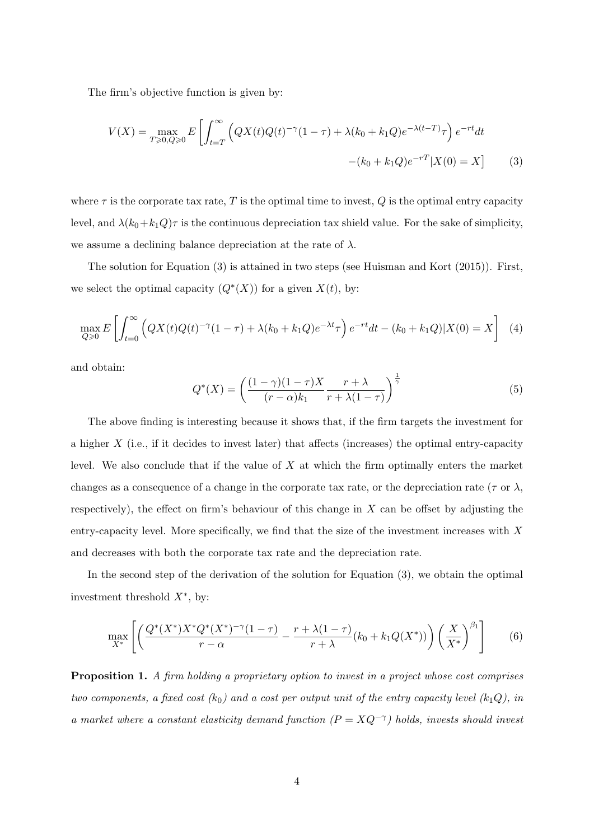The firm's objective function is given by:

$$
V(X) = \max_{T \ge 0, Q \ge 0} E\left[\int_{t=T}^{\infty} \left(QX(t)Q(t)^{-\gamma}(1-\tau) + \lambda(k_0 + k_1Q)e^{-\lambda(t-T)}\tau\right)e^{-rt}dt - (k_0 + k_1Q)e^{-rT}|X(0) = X\right]
$$
(3)

where  $\tau$  is the corporate tax rate,  $T$  is the optimal time to invest,  $Q$  is the optimal entry capacity level, and  $\lambda (k_0+k_1 Q)\tau$  is the continuous depreciation tax shield value. For the sake of simplicity, we assume a declining balance depreciation at the rate of *λ*.

The solution for Equation (3) is attained in two steps (see Huisman and Kort (2015)). First, we select the optimal capacity  $(Q^*(X))$  for a given  $X(t)$ , by:

$$
\max_{Q\geq 0} E\left[\int_{t=0}^{\infty} \left(QX(t)Q(t)^{-\gamma}(1-\tau) + \lambda(k_0 + k_1 Q)e^{-\lambda t}\tau\right)e^{-rt}dt - (k_0 + k_1 Q)|X(0) = X\right] \tag{4}
$$

and obtain:

$$
Q^*(X) = \left(\frac{(1-\gamma)(1-\tau)X}{(r-\alpha)k_1} \frac{r+\lambda}{r+\lambda(1-\tau)}\right)^{\frac{1}{\gamma}}
$$
(5)

The above finding is interesting because it shows that, if the firm targets the investment for a higher *X* (i.e., if it decides to invest later) that affects (increases) the optimal entry-capacity level. We also conclude that if the value of *X* at which the firm optimally enters the market changes as a consequence of a change in the corporate tax rate, or the depreciation rate ( $\tau$  or  $\lambda$ , respectively), the effect on firm's behaviour of this change in *X* can be offset by adjusting the entry-capacity level. More specifically, we find that the size of the investment increases with *X* and decreases with both the corporate tax rate and the depreciation rate.

In the second step of the derivation of the solution for Equation (3), we obtain the optimal investment threshold *X∗* , by:

$$
\max_{X^*} \left[ \left( \frac{Q^*(X^*)X^*Q^*(X^*)^{-\gamma}(1-\tau)}{r-\alpha} - \frac{r+\lambda(1-\tau)}{r+\lambda} (k_0 + k_1 Q(X^*)) \right) \left( \frac{X}{X^*} \right)^{\beta_1} \right] \tag{6}
$$

**Proposition 1.** *A firm holding a proprietary option to invest in a project whose cost comprises two components, a fixed cost*  $(k_0)$  and a cost per output unit of the entry capacity level  $(k_1Q)$ , in *a market where a constant elasticity demand function*  $(P = XQ^{-\gamma})$  holds, invests should invest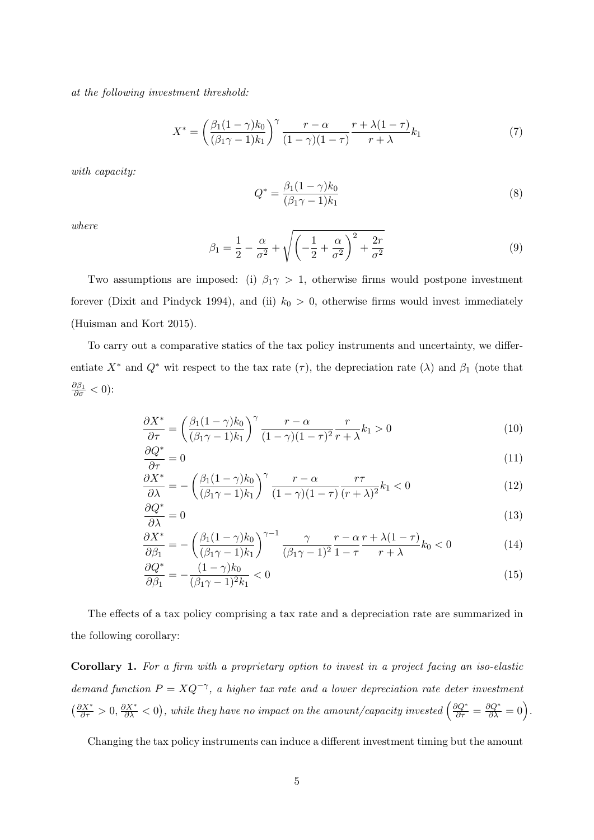*at the following investment threshold:*

$$
X^* = \left(\frac{\beta_1(1-\gamma)k_0}{(\beta_1\gamma - 1)k_1}\right)^\gamma \frac{r-\alpha}{(1-\gamma)(1-\tau)} \frac{r+\lambda(1-\tau)}{r+\lambda} k_1
$$
 (7)

*with capacity:*

$$
Q^* = \frac{\beta_1 (1 - \gamma) k_0}{(\beta_1 \gamma - 1) k_1} \tag{8}
$$

*where*

$$
\beta_1 = \frac{1}{2} - \frac{\alpha}{\sigma^2} + \sqrt{\left(-\frac{1}{2} + \frac{\alpha}{\sigma^2}\right)^2 + \frac{2r}{\sigma^2}}\tag{9}
$$

Two assumptions are imposed: (i)  $\beta_1 \gamma > 1$ , otherwise firms would postpone investment forever (Dixit and Pindyck 1994), and (ii)  $k_0 > 0$ , otherwise firms would invest immediately (Huisman and Kort 2015).

To carry out a comparative statics of the tax policy instruments and uncertainty, we differentiate  $X^*$  and  $Q^*$  wit respect to the tax rate  $(\tau)$ , the depreciation rate  $(\lambda)$  and  $\beta_1$  (note that *∂β*<sup>1</sup> *∂σ <* 0):

$$
\frac{\partial X^*}{\partial \tau} = \left(\frac{\beta_1(1-\gamma)k_0}{(\beta_1\gamma - 1)k_1}\right)^{\gamma} \frac{r-\alpha}{(1-\gamma)(1-\tau)^2} \frac{r}{r+\lambda} k_1 > 0
$$
\n(10)

$$
\frac{\partial Q^*}{\partial \tau} = 0\tag{11}
$$

$$
\frac{\partial X^*}{\partial \lambda} = -\left(\frac{\beta_1(1-\gamma)k_0}{(\beta_1\gamma - 1)k_1}\right)^\gamma \frac{r-\alpha}{(1-\gamma)(1-\tau)} \frac{r\tau}{(r+\lambda)^2} k_1 < 0 \tag{12}
$$

$$
\frac{\partial Q^*}{\partial \lambda} = 0 \tag{13}
$$

$$
\frac{\partial X^*}{\partial \beta_1} = -\left(\frac{\beta_1(1-\gamma)k_0}{(\beta_1\gamma - 1)k_1}\right)^{\gamma - 1} \frac{\gamma}{(\beta_1\gamma - 1)^2} \frac{r - \alpha}{1 - \tau} \frac{r + \lambda(1 - \tau)}{r + \lambda} k_0 < 0 \tag{14}
$$

$$
\frac{\partial Q^*}{\partial \beta_1} = -\frac{(1-\gamma)k_0}{(\beta_1\gamma - 1)^2 k_1} < 0\tag{15}
$$

The effects of a tax policy comprising a tax rate and a depreciation rate are summarized in the following corollary:

**Corollary 1.** *For a firm with a proprietary option to invest in a project facing an iso-elastic demand function*  $P = XQ^{-\gamma}$ , a higher tax rate and a lower depreciation rate deter investment  $\left(\frac{\partial X^*}{\partial \tau} > 0, \frac{\partial X^*}{\partial \lambda} < 0\right)$ , while they have no impact on the amount/capacity invested  $\left(\frac{\partial Q^*}{\partial \tau} = \frac{\partial Q^*}{\partial \lambda} = 0\right)$ .

Changing the tax policy instruments can induce a different investment timing but the amount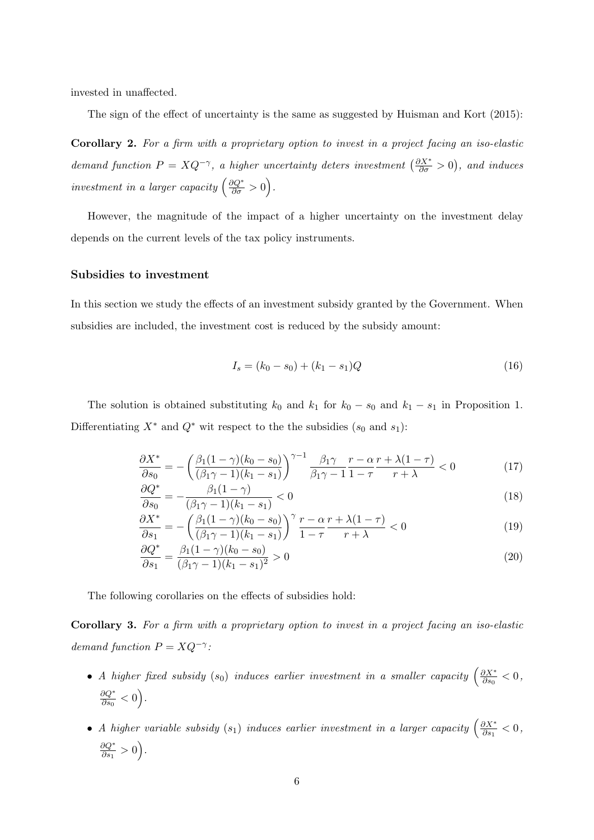invested in unaffected.

The sign of the effect of uncertainty is the same as suggested by Huisman and Kort (2015):

**Corollary 2.** *For a firm with a proprietary option to invest in a project facing an iso-elastic demand function*  $P = XQ^{-\gamma}$ , *a higher uncertainty deters investment*  $\left(\frac{\partial X^*}{\partial \sigma} > 0\right)$ , *and induces investment in a larger capacity*  $\left(\frac{\partial Q^*}{\partial \sigma} > 0\right)$ .

However, the magnitude of the impact of a higher uncertainty on the investment delay depends on the current levels of the tax policy instruments.

#### **Subsidies to investment**

In this section we study the effects of an investment subsidy granted by the Government. When subsidies are included, the investment cost is reduced by the subsidy amount:

$$
I_s = (k_0 - s_0) + (k_1 - s_1)Q
$$
\n(16)

The solution is obtained substituting  $k_0$  and  $k_1$  for  $k_0 - s_0$  and  $k_1 - s_1$  in Proposition 1. Differentiating  $X^*$  and  $Q^*$  wit respect to the the subsidies ( $s_0$  and  $s_1$ ):

$$
\frac{\partial X^*}{\partial s_0} = -\left(\frac{\beta_1(1-\gamma)(k_0-s_0)}{(\beta_1\gamma-1)(k_1-s_1)}\right)^{\gamma-1} \frac{\beta_1\gamma}{\beta_1\gamma-1} \frac{r-\alpha}{1-\tau} \frac{r+\lambda(1-\tau)}{r+\lambda} < 0\tag{17}
$$

$$
\frac{\partial Q^*}{\partial s_0} = -\frac{\beta_1 (1 - \gamma)}{(\beta_1 \gamma - 1)(k_1 - s_1)} < 0 \tag{18}
$$

$$
\frac{\partial X^*}{\partial s_1} = -\left(\frac{\beta_1(1-\gamma)(k_0-s_0)}{(\beta_1\gamma-1)(k_1-s_1)}\right)^{\gamma} \frac{r-\alpha}{1-\tau} \frac{r+\lambda(1-\tau)}{r+\lambda} < 0
$$
\n(19)

$$
\frac{\partial Q^*}{\partial s_1} = \frac{\beta_1 (1 - \gamma)(k_0 - s_0)}{(\beta_1 \gamma - 1)(k_1 - s_1)^2} > 0
$$
\n(20)

The following corollaries on the effects of subsidies hold:

**Corollary 3.** *For a firm with a proprietary option to invest in a project facing an iso-elastic demand function*  $P = XQ^{-\gamma}$ *:* 

- *A higher fixed subsidy*  $(s_0)$  *induces earlier investment in a smaller capacity*  $\left(\frac{\partial X^*}{\partial s_0}\right)$  $\frac{\partial X^*}{\partial s_0} < 0$ *∂Q∗*  $\frac{\partial Q^*}{\partial s_0} < 0$ .
- *A higher variable subsidy*  $(s_1)$  *induces earlier investment in a larger capacity*  $\left(\frac{\partial X^*}{\partial s_1}\right)$  $\frac{\partial X^*}{\partial s_1} < 0$ , *∂Q∗*  $\frac{\partial Q^*}{\partial s_1} > 0$ .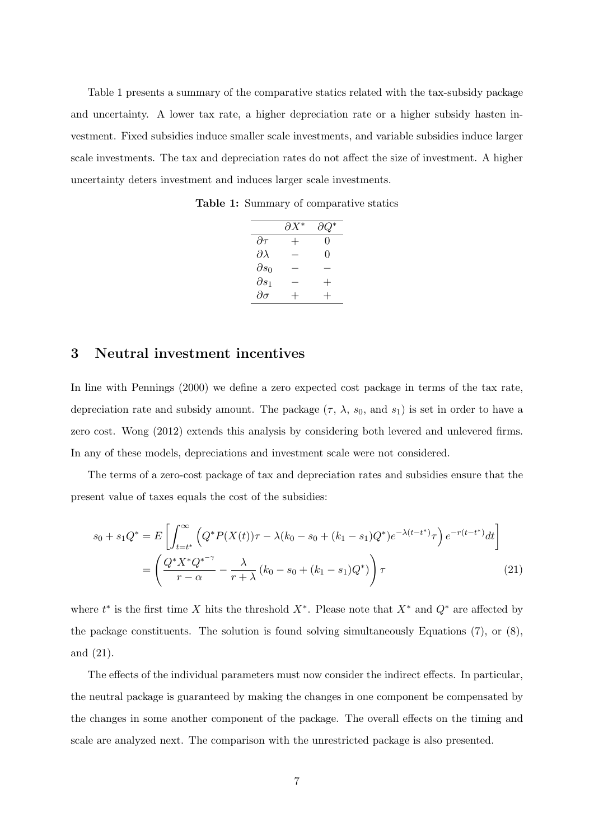Table 1 presents a summary of the comparative statics related with the tax-subsidy package and uncertainty. A lower tax rate, a higher depreciation rate or a higher subsidy hasten investment. Fixed subsidies induce smaller scale investments, and variable subsidies induce larger scale investments. The tax and depreciation rates do not affect the size of investment. A higher uncertainty deters investment and induces larger scale investments.

**Table 1:** Summary of comparative statics

|                    | $\partial X^*$ | дQ               |
|--------------------|----------------|------------------|
| $\partial \tau$    | $\mathrm{+}$   | $\left( \right)$ |
| $\partial \lambda$ |                | 0                |
| $\partial s_0$     |                |                  |
| $\partial s_1$     |                | $\, +$           |
| $\partial \sigma$  |                |                  |

## **3 Neutral investment incentives**

In line with Pennings (2000) we define a zero expected cost package in terms of the tax rate, depreciation rate and subsidy amount. The package  $(\tau, \lambda, s_0, \text{ and } s_1)$  is set in order to have a zero cost. Wong (2012) extends this analysis by considering both levered and unlevered firms. In any of these models, depreciations and investment scale were not considered.

The terms of a zero-cost package of tax and depreciation rates and subsidies ensure that the present value of taxes equals the cost of the subsidies:

$$
s_0 + s_1 Q^* = E \left[ \int_{t=t^*}^{\infty} \left( Q^* P(X(t)) \tau - \lambda (k_0 - s_0 + (k_1 - s_1) Q^*) e^{-\lambda (t-t^*)} \tau \right) e^{-r(t-t^*)} dt \right]
$$
  
= 
$$
\left( \frac{Q^* X^* Q^{*^{-\gamma}}}{r - \alpha} - \frac{\lambda}{r + \lambda} (k_0 - s_0 + (k_1 - s_1) Q^*) \right) \tau
$$
 (21)

where  $t^*$  is the first time *X* hits the threshold  $X^*$ . Please note that  $X^*$  and  $Q^*$  are affected by the package constituents. The solution is found solving simultaneously Equations (7), or (8), and (21).

The effects of the individual parameters must now consider the indirect effects. In particular, the neutral package is guaranteed by making the changes in one component be compensated by the changes in some another component of the package. The overall effects on the timing and scale are analyzed next. The comparison with the unrestricted package is also presented.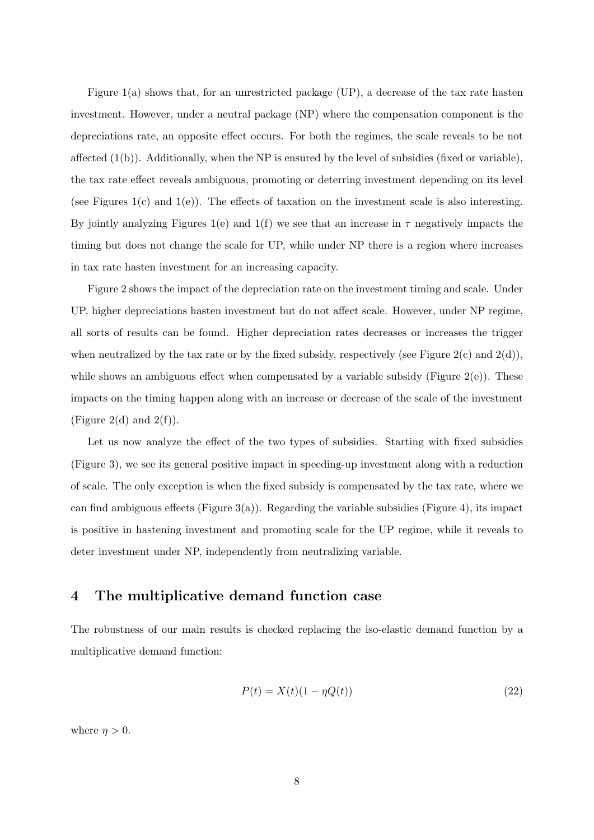Figure 1(a) shows that, for an unrestricted package (UP), a decrease of the tax rate hasten investment. However, under a neutral package (NP) where the compensation component is the depreciations rate, an opposite effect occurs. For both the regimes, the scale reveals to be not affected  $(1(b))$ . Additionally, when the NP is ensured by the level of subsidies (fixed or variable), the tax rate effect reveals ambiguous, promoting or deterring investment depending on its level (see Figures 1(c) and 1(e)). The effects of taxation on the investment scale is also interesting. By jointly analyzing Figures 1(e) and 1(f) we see that an increase in  $\tau$  negatively impacts the timing but does not change the scale for UP, while under NP there is a region where increases in tax rate hasten investment for an increasing capacity.

Figure 2 shows the impact of the depreciation rate on the investment timing and scale. Under UP, higher depreciations hasten investment but do not affect scale. However, under NP regime, all sorts of results can be found. Higher depreciation rates decreases or increases the trigger when neutralized by the tax rate or by the fixed subsidy, respectively (see Figure 2(c) and  $2(d)$ ), while shows an ambiguous effect when compensated by a variable subsidy (Figure  $2(e)$ ). These impacts on the timing happen along with an increase or decrease of the scale of the investment (Figure 2(d) and  $2(f)$ ).

Let us now analyze the effect of the two types of subsidies. Starting with fixed subsidies (Figure 3), we see its general positive impact in speeding-up investment along with a reduction of scale. The only exception is when the fixed subsidy is compensated by the tax rate, where we can find ambiguous effects (Figure 3(a)). Regarding the variable subsidies (Figure 4), its impact is positive in hastening investment and promoting scale for the UP regime, while it reveals to deter investment under NP, independently from neutralizing variable.

## **4 The multiplicative demand function case**

The robustness of our main results is checked replacing the iso-elastic demand function by a multiplicative demand function:

$$
P(t) = X(t)(1 - \eta Q(t))
$$
\n<sup>(22)</sup>

where  $\eta > 0$ .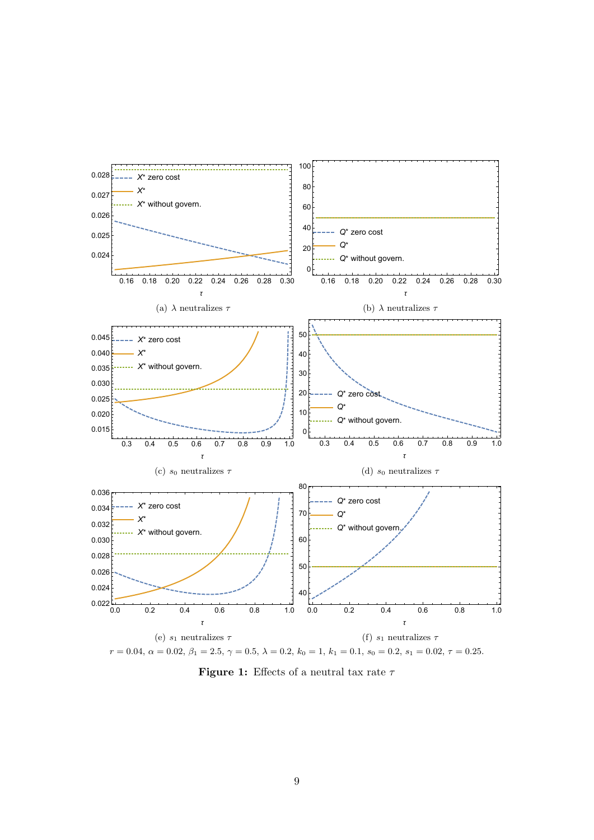

**Figure 1:** Effects of a neutral tax rate *τ*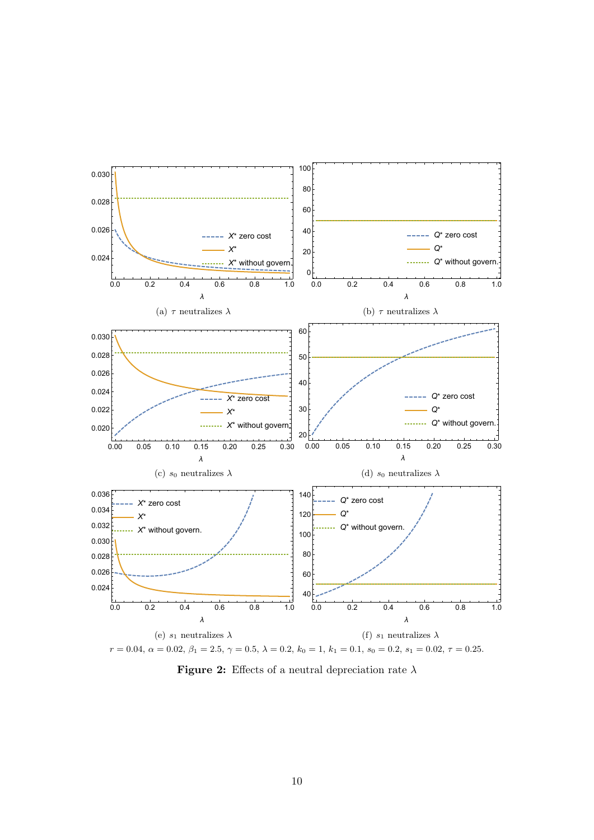

**Figure 2:** Effects of a neutral depreciation rate *λ*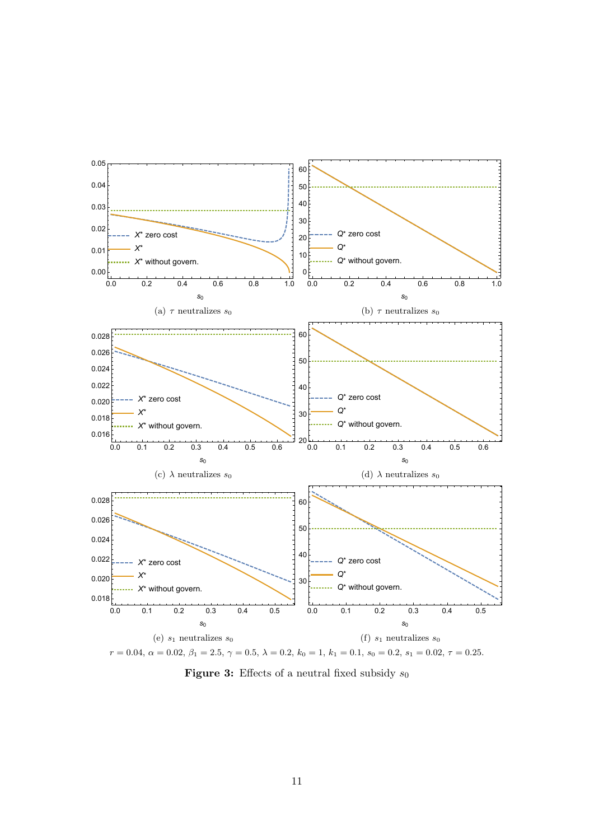

**Figure 3:** Effects of a neutral fixed subsidy *s*<sup>0</sup>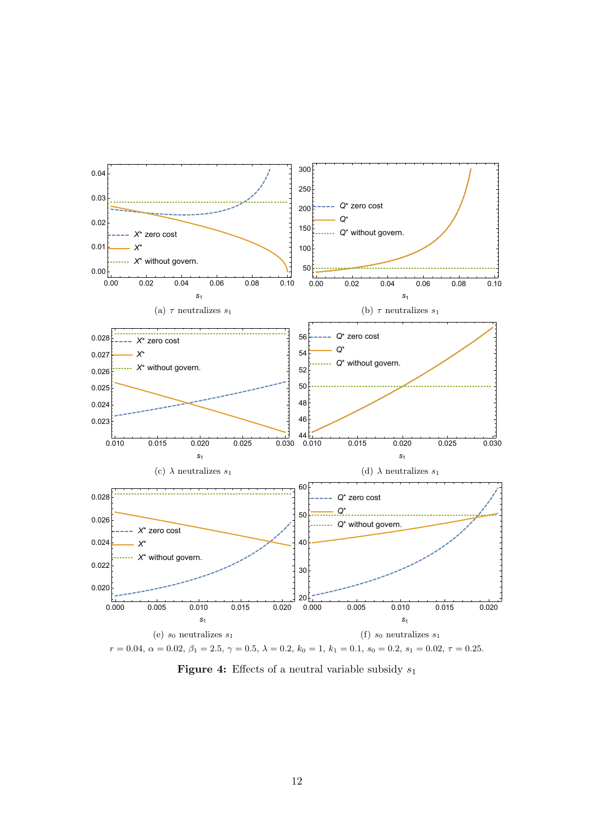

**Figure 4:** Effects of a neutral variable subsidy *s*<sup>1</sup>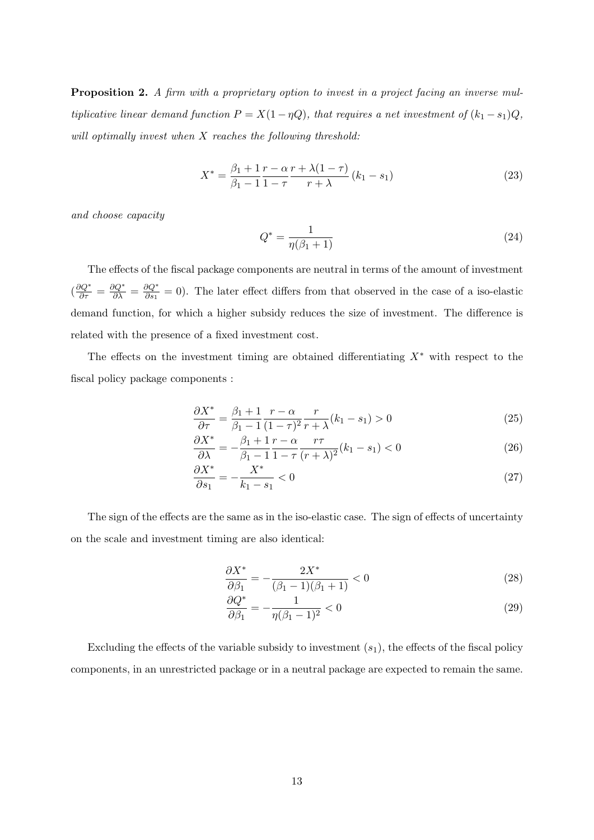**Proposition 2.** *A firm with a proprietary option to invest in a project facing an inverse multiplicative linear demand function*  $P = X(1 - \eta Q)$ *, that requires a net investment of*  $(k_1 - s_1)Q$ *, will optimally invest when X reaches the following threshold:*

$$
X^* = \frac{\beta_1 + 1}{\beta_1 - 1} \frac{r - \alpha}{1 - \tau} \frac{r + \lambda(1 - \tau)}{r + \lambda} (k_1 - s_1)
$$
 (23)

*and choose capacity*

$$
Q^* = \frac{1}{\eta(\beta_1 + 1)}\tag{24}
$$

The effects of the fiscal package components are neutral in terms of the amount of investment  $\left(\frac{\partial Q^*}{\partial \tau} = \frac{\partial Q^*}{\partial \lambda} = \frac{\partial Q^*}{\partial s_1}\right)$  $\frac{\partial Q}{\partial s_1} = 0$ ). The later effect differs from that observed in the case of a iso-elastic demand function, for which a higher subsidy reduces the size of investment. The difference is related with the presence of a fixed investment cost.

The effects on the investment timing are obtained differentiating *X∗* with respect to the fiscal policy package components :

$$
\frac{\partial X^*}{\partial \tau} = \frac{\beta_1 + 1}{\beta_1 - 1} \frac{r - \alpha}{(1 - \tau)^2} \frac{r}{r + \lambda} (k_1 - s_1) > 0 \tag{25}
$$

$$
\frac{\partial X^*}{\partial \lambda} = -\frac{\beta_1 + 1}{\beta_1 - 1} \frac{r - \alpha}{1 - \tau} \frac{r\tau}{(r + \lambda)^2} (k_1 - s_1) < 0 \tag{26}
$$

$$
\frac{\partial X^*}{\partial s_1} = -\frac{X^*}{k_1 - s_1} < 0 \tag{27}
$$

The sign of the effects are the same as in the iso-elastic case. The sign of effects of uncertainty on the scale and investment timing are also identical:

$$
\frac{\partial X^*}{\partial \beta_1} = -\frac{2X^*}{(\beta_1 - 1)(\beta_1 + 1)} < 0 \tag{28}
$$

$$
\frac{\partial Q^*}{\partial \beta_1} = -\frac{1}{\eta(\beta_1 - 1)^2} < 0 \tag{29}
$$

Excluding the effects of the variable subsidy to investment (*s*1), the effects of the fiscal policy components, in an unrestricted package or in a neutral package are expected to remain the same.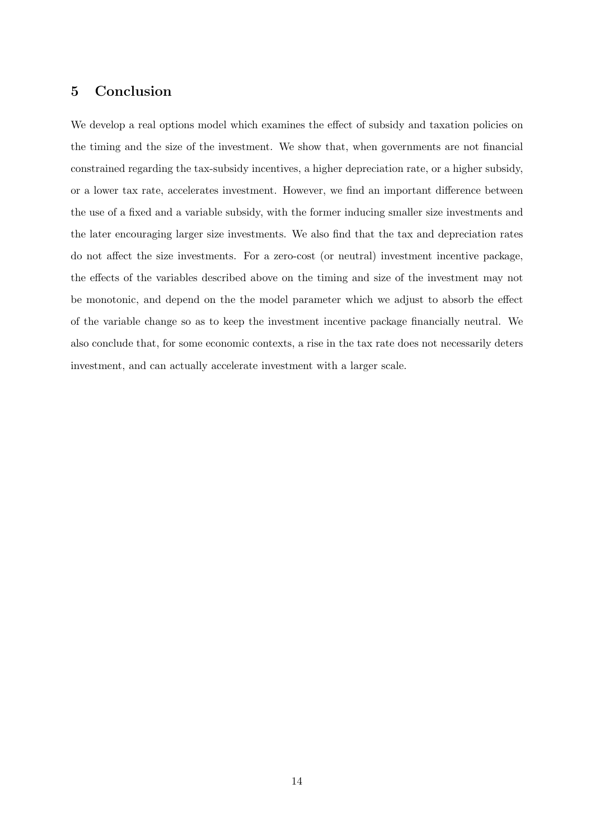# **5 Conclusion**

We develop a real options model which examines the effect of subsidy and taxation policies on the timing and the size of the investment. We show that, when governments are not financial constrained regarding the tax-subsidy incentives, a higher depreciation rate, or a higher subsidy, or a lower tax rate, accelerates investment. However, we find an important difference between the use of a fixed and a variable subsidy, with the former inducing smaller size investments and the later encouraging larger size investments. We also find that the tax and depreciation rates do not affect the size investments. For a zero-cost (or neutral) investment incentive package, the effects of the variables described above on the timing and size of the investment may not be monotonic, and depend on the the model parameter which we adjust to absorb the effect of the variable change so as to keep the investment incentive package financially neutral. We also conclude that, for some economic contexts, a rise in the tax rate does not necessarily deters investment, and can actually accelerate investment with a larger scale.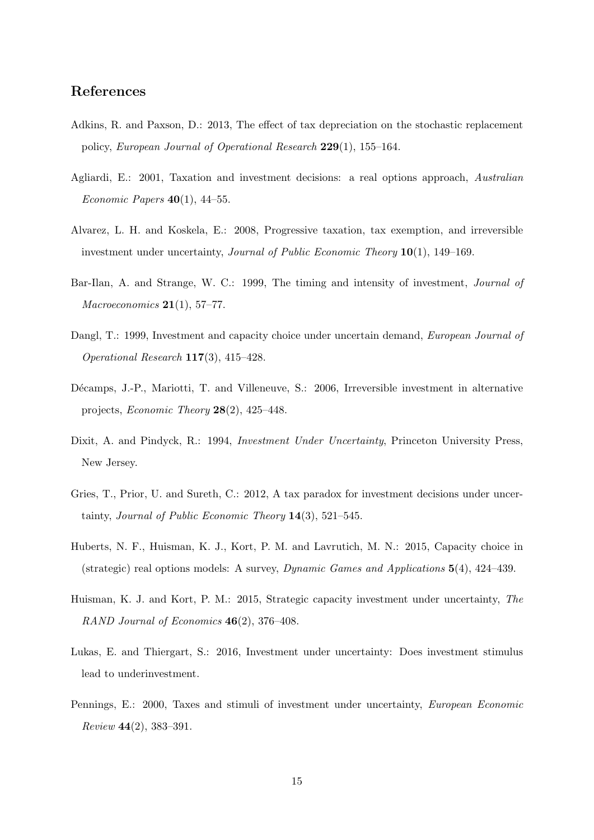## **References**

- Adkins, R. and Paxson, D.: 2013, The effect of tax depreciation on the stochastic replacement policy, *European Journal of Operational Research* **229**(1), 155–164.
- Agliardi, E.: 2001, Taxation and investment decisions: a real options approach, *Australian Economic Papers* **40**(1), 44–55.
- Alvarez, L. H. and Koskela, E.: 2008, Progressive taxation, tax exemption, and irreversible investment under uncertainty, *Journal of Public Economic Theory* **10**(1), 149–169.
- Bar-Ilan, A. and Strange, W. C.: 1999, The timing and intensity of investment, *Journal of Macroeconomics* **21**(1), 57–77.
- Dangl, T.: 1999, Investment and capacity choice under uncertain demand, *European Journal of Operational Research* **117**(3), 415–428.
- Décamps, J.-P., Mariotti, T. and Villeneuve, S.: 2006, Irreversible investment in alternative projects, *Economic Theory* **28**(2), 425–448.
- Dixit, A. and Pindyck, R.: 1994, *Investment Under Uncertainty*, Princeton University Press, New Jersey.
- Gries, T., Prior, U. and Sureth, C.: 2012, A tax paradox for investment decisions under uncertainty, *Journal of Public Economic Theory* **14**(3), 521–545.
- Huberts, N. F., Huisman, K. J., Kort, P. M. and Lavrutich, M. N.: 2015, Capacity choice in (strategic) real options models: A survey, *Dynamic Games and Applications* **5**(4), 424–439.
- Huisman, K. J. and Kort, P. M.: 2015, Strategic capacity investment under uncertainty, *The RAND Journal of Economics* **46**(2), 376–408.
- Lukas, E. and Thiergart, S.: 2016, Investment under uncertainty: Does investment stimulus lead to underinvestment.
- Pennings, E.: 2000, Taxes and stimuli of investment under uncertainty, *European Economic Review* **44**(2), 383–391.